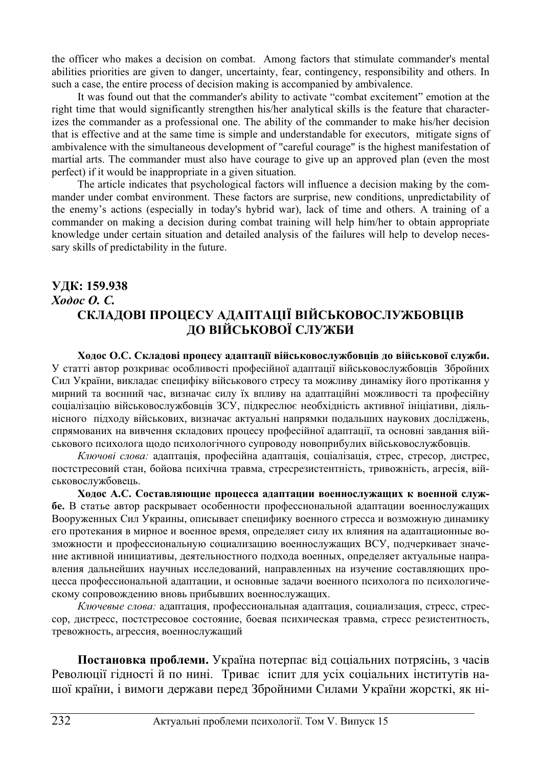the officer who makes a decision on combat. Among factors that stimulate commander's mental abilities priorities are given to danger, uncertainty, fear, contingency, responsibility and others. In such a case, the entire process of decision making is accompanied by ambivalence.

It was found out that the commander's ability to activate "combat excitement" emotion at the right time that would significantly strengthen his/her analytical skills is the feature that characterizes the commander as a professional one. The ability of the commander to make his/her decision that is effective and at the same time is simple and understandable for executors, mitigate signs of ambivalence with the simultaneous development of "careful courage" is the highest manifestation of martial arts. The commander must also have courage to give up an approved plan (even the most perfect) if it would be inappropriate in a given situation.

The article indicates that psychological factors will influence a decision making by the commander under combat environment. These factors are surprise, new conditions, unpredictability of the enemy's actions (especially in today's hybrid war), lack of time and others. A training of a commander on making a decision during combat training will help him/her to obtain appropriate knowledge under certain situation and detailed analysis of the failures will help to develop necessary skills of predictability in the future.

## **ɍȾɄ: 159.938**  *Xodoc O. C.* СКЛАДОВІ ПРОЦЕСУ АДАПТАЦІЇ ВІЙСЬКОВОСЛУЖБОВЦІВ ДО ВІЙСЬКОВОЇ СЛУЖБИ

Ходос О.С. Складові процесу адаптації військовослужбовців до військової служби. У статті автор розкриває особливості професійної адаптації військовослужбовців Збройних Сил України, викладає специфіку військового стресу та можливу динаміку його протікання у мирний та воєнний час, визначає силу їх впливу на адаптаційні можливості та професійну соціалізацію військовослужбовців ЗСУ, пілкреслює необхілність активної ініціативи, ліяльнісного підходу військових, визначає актуальні напрямки подальших наукових досліджень, спрямованих на вивчення складових процесу професійної адаптації, та основні завдання військового психолога щодо психологічного супроводу новоприбулих військовослужбовців.

Ключові слова: адаптація, професійна адаптація, соціалізація, стрес, стресор, дистрес, постстресовий стан, бойова психічна травма, стресрезистентність, тривожність, агресія, військовослужбовець.

Ходос А.С. Составляющие процесса адаптации военнослужащих к военной служ**бе.** В статье автор раскрывает особенности профессиональной адаптации военнослужащих Вооруженных Сил Украины, описывает специфику военного стресса и возможную динамику его протекания в мирное и военное время, определяет силу их влияния на адаптационные возможности и профессиональную социализацию военнослужащих ВСУ, подчеркивает значение активной инициативы, деятельностного подхода военных, определяет актуальные направления дальнейших научных исследований, направленных на изучение составляющих процесса профессиональной адаптации, и основные задачи военного психолога по психологическому сопровождению вновь прибывших военнослужащих.

Ключевые слова: адаптация, профессиональная адаптация, социализация, стресс, стрессор, дистресс, постстресовое состояние, боевая психическая травма, стресс резистентность, тревожность, агрессия, военнослужащий

Постановка проблеми. Україна потерпає від соціальних потрясінь, з часів Революції гідності й по нині. Триває іспит для усіх соціальних інститутів нашої країни, і вимоги держави перед Збройними Силами України жорсткі, як ні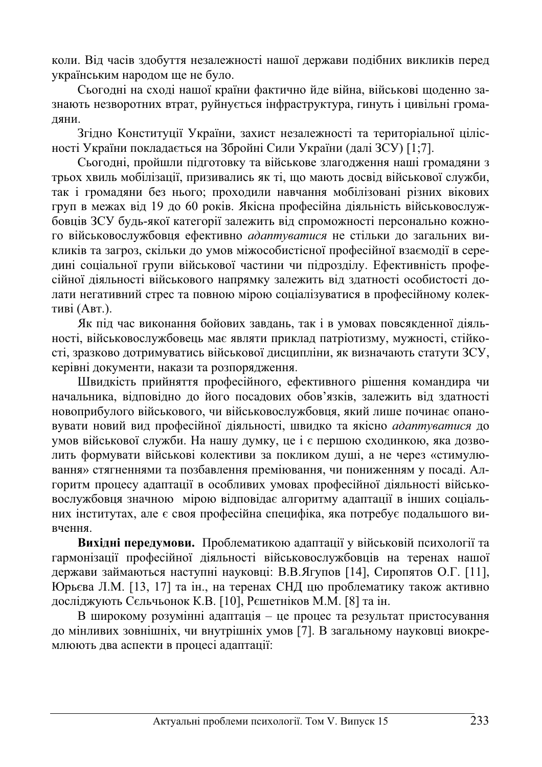коли. Від часів здобуття незалежності нашої держави подібних викликів перед українським народом ще не було.

Сьогодні на сході нашої країни фактично йде війна, військові щоденно зазнають незворотних втрат, руйнується інфраструктура, гинуть і цивільні грома-ДЯНИ.

Згідно Конституції України, захист незалежності та територіальної цілісності України покладається на Збройні Сили України (далі ЗСУ) [1;7].

Сьогодні, пройшли підготовку та військове злагодження наші громадяни з трьох хвиль мобілізації, призивались як ті, що мають досвід військової служби, так і громадяни без нього; проходили навчання мобілізовані різних вікових груп в межах від 19 до 60 років. Якісна професійна діяльність військовослужбовців ЗСУ будь-якої категорії залежить від спроможності персонально кожного військовослужбовця ефективно *адаптуватися* не стільки до загальних викликів та загроз, скільки до умов міжособистісної професійної взаємодії в середині соціальної групи військової частини чи підрозділу. Ефективність професійної діяльності військового напрямку залежить від здатності особистості долати негативний стрес та повною мірою соціалізуватися в професійному колективі (Авт.).

Як під час виконання бойових завдань, так і в умовах повсякденної діяльності, військовослужбовець має являти приклад патріотизму, мужності, стійкості, зразково дотримуватись військової дисципліни, як визначають статути ЗСУ, керівні документи, накази та розпорядження.

Швидкість прийняття професійного, ефективного рішення командира чи начальника, відповідно до його посадових обов'язків, залежить від здатності новоприбулого військового, чи військовослужбовця, який лише починає опановувати новий вид професійної діяльності, швидко та якісно адаптуватися до умов військової служби. На нашу думку, це і є першою сходинкою, яка дозволить формувати військові колективи за покликом душі, а не через «стимулювання» стягненнями та позбавлення преміювання, чи пониженням у посаді. Алгоритм процесу адаптації в особливих умовах професійної діяльності військовослужбовця значною мірою відповідає алгоритму адаптації в інших соціальних інститутах, але є своя професійна специфіка, яка потребує подальшого вивчення.

Вихідні передумови. Проблематикою адаптації у військовій психології та гармонізації професійної діяльності військовослужбовців на теренах нашої держави займаються наступні науковці: В.В.Ягупов [14], Сиропятов О.Г. [11], Юрьєва Л.М. [13, 17] та ін., на теренах СНД цю проблематику також активно досліджують Сєльчьонок К.В. [10], Рєшетніков М.М. [8] та ін.

В широкому розумінні адаптація - це процес та результат пристосування до мінливих зовнішніх, чи внутрішніх умов [7]. В загальному науковці виокремлюють два аспекти в процесі адаптації: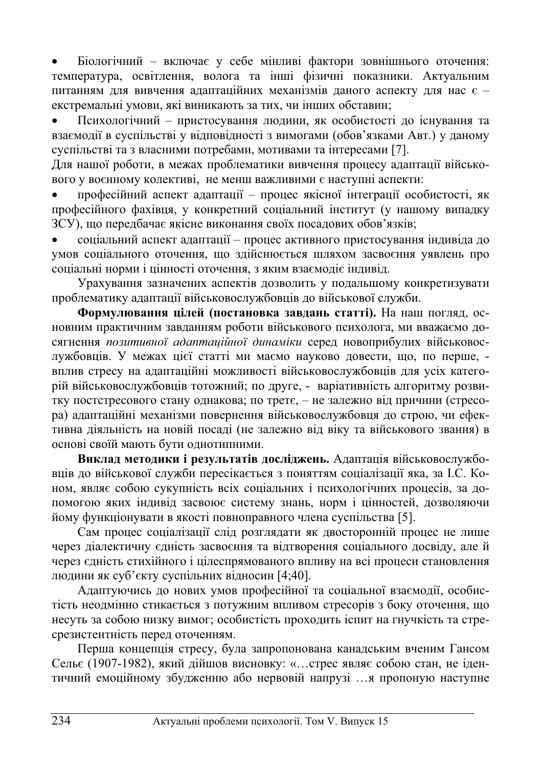Біологічний – включає у себе мінливі фактори зовнішнього оточення: температура, освітлення, волога та інші фізичні показники. Актуальним питанням для вивчення адаптаційних механізмів даного аспекту для нас є екстремальні умови, які виникають за тих, чи інших обставин;

Психологічний – пристосування людини, як особистості до існування та взаємодії в суспільстві у відповідності з вимогами (обов'язками Авт.) у даному суспільстві та з власними потребами, мотивами та інтересами [7].

Для нашої роботи, в межах проблематики вивчення процесу адаптації військового у воєнному колективі, не менш важливими є наступні аспекти:

професійний аспект адаптації – процес якісної інтеграції особистості, як професійного фахівця, у конкретний соціальний інститут (у нашому випадку ЗСУ), що передбачає якісне виконання своїх посадових обов'язків;

соціальний аспект адаптації – процес активного пристосування індивіда до умов соціального оточення, що здійснюється шляхом засвоєння уявлень про соціальні норми і цінності оточення, з яким взаємодіє індивід.

Урахування зазначених аспектів дозволить у подальшому конкретизувати проблематику адаптації військовослужбовців до військової служби.

Формулювання цілей (постановка завдань статті). На наш погляд, основним практичним завданням роботи військового психолога, ми вважаємо досягнення позитивної адаптаційної динаміки серед новоприбулих військовослужбовців. У межах цієї статті ми маємо науково довести, що, по перше, вплив стресу на адаптаційні можливості військовослужбовців для усіх категорій військовослужбовців тотожний; по друге, - варіативність алгоритму розвитку постстресового стану однакова; по третє, – не залежно від причини (стресора) адаптаційні механізми повернення військовослужбовця до строю, чи ефективна діяльність на новій посаді (не залежно від віку та військового звання) в основі своїй мають бути однотипними.

Виклад методики і результатів досліджень. Адаптація військовослужбовців до військової служби пересікається з поняттям соціалізації яка, за І.С. Коном, являє собою сукупність всіх соціальних і психологічних процесів, за допомогою яких індивід засвоює систему знань, норм і цінностей, дозволяючи йому функціонувати в якості повноправного члена суспільства [5].

Сам процес соціалізації слід розглядати як двосторонній процес не лише через діалектичну єдність засвоєння та відтворення соціального досвіду, але й через єдність стихійного і цілеспрямованого впливу на всі процеси становлення людини як суб'єкту суспільних відносин [4;40].

Адаптуючись до нових умов професійної та соціальної взаємодії, особистість неодмінно стикається з потужним впливом стресорів з боку оточення, що несуть за собою низку вимог; особистість проходить іспит на гнучкість та стресрезистентність перед оточенням.

Перша концепція стресу, була запропонована канадським вченим Гансом Сельє (1907-1982), який дійшов висновку: «…стрес являє собою стан, не ідентичний емоційному збудженню або нервовій напрузі …я пропоную наступне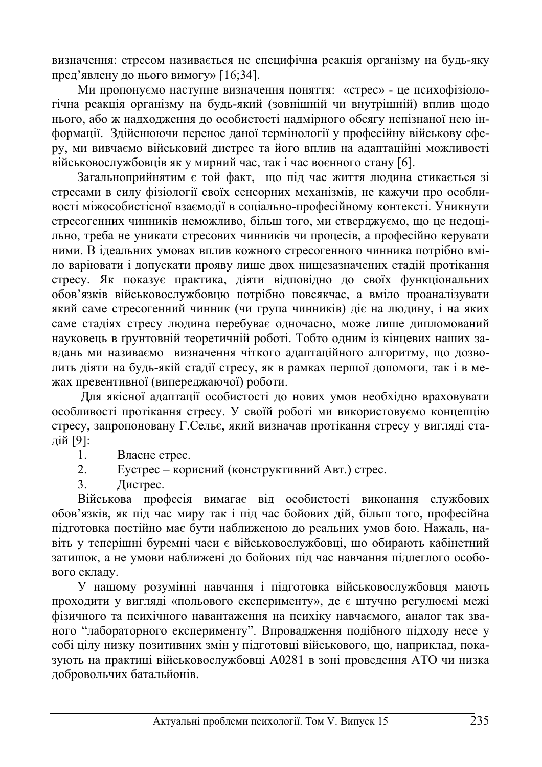визначення: стресом називається не специфічна реакція організму на будь-яку пред'явлену до нього вимогу» [16;34].

Ми пропонуємо наступне визначення поняття: «стрес» - це психофізіологічна реакція організму на будь-який (зовнішній чи внутрішній) вплив щодо нього, або ж надходження до особистості надмірного обсягу непізнаної нею інформації. Здійснюючи перенос даної термінології у професійну військову сферу, ми вивчаємо військовий дистрес та його вплив на адаптаційні можливості військовослужбовців як у мирний час, так і час воєнного стану [6].

Загальноприйнятим є той факт, що під час життя людина стикається зі стресами в силу фізіології своїх сенсорних механізмів, не кажучи про особливості міжособистісної взаємодії в соціально-професійному контексті. Уникнути стресогенних чинників неможливо, більш того, ми стверджуємо, що це недоцільно, треба не уникати стресових чинників чи процесів, а професійно керувати ними. В ідеальних умовах вплив кожного стресогенного чинника потрібно вміло варіювати і допускати прояву лише двох нищезазначених стадій протікання стресу. Як показує практика, діяти відповідно до своїх функціональних обов'язків військовослужбовцю потрібно повсякчас, а вміло проаналізувати який саме стресогенний чинник (чи група чинників) діє на людину, і на яких саме стадіях стресу людина перебуває одночасно, може лише дипломований науковець в ґрунтовній теоретичній роботі. Тобто одним із кінцевих наших завдань ми називаємо визначення чіткого адаптаційного алгоритму, що дозволить діяти на будь-якій стадії стресу, як в рамках першої допомоги, так і в межах превентивної (випереджаючої) роботи.

Для якісної адаптації особистості до нових умов необхідно враховувати особливості протікання стресу. У своїй роботі ми використовуємо концепцію стресу, запропоновану Г.Сельє, який визначав протікання стресу у вигляді стадій [9]:

1. Власне стрес.

2. Еустрес – корисний (конструктивний Авт.) стрес.

3. Дистрес.

Військова професія вимагає від особистості виконання службових обов'язків, як під час миру так і під час бойових дій, більш того, професійна підготовка постійно має бути наближеною до реальних умов бою. Нажаль, навіть у теперішні буремні часи є військовослужбовці, що обирають кабінетний затишок, а не умови наближені до бойових під час навчання підлеглого особового складу.

У нашому розумінні навчання і підготовка військовослужбовця мають проходити у вигляді «польового експерименту», де є штучно регулюємі межі фізичного та психічного навантаження на психіку навчаємого, аналог так званого "лабораторного експерименту". Впровадження подібного підходу несе у собі цілу низку позитивних змін у підготовці військового, що, наприклад, показують на практиці військовослужбовці А0281 в зоні проведення АТО чи низка добровольчих батальйонів.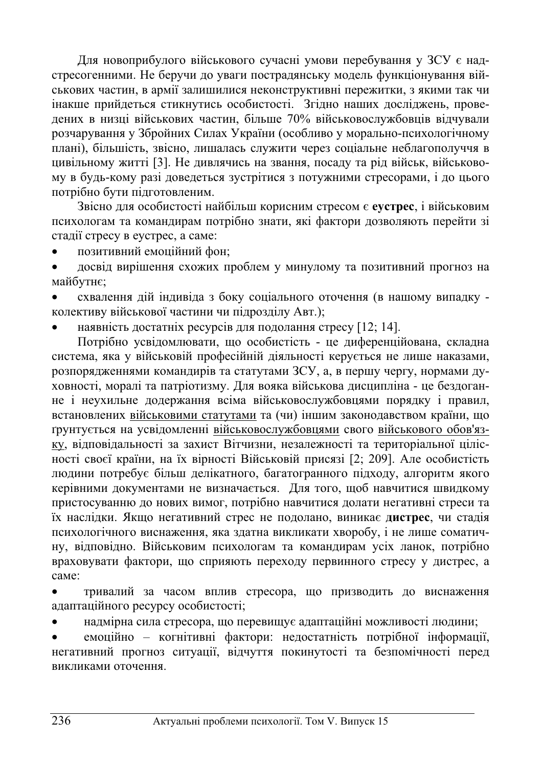Для новоприбулого військового сучасні умови перебування у ЗСУ є надстресогенними. Не беручи до уваги пострадянську модель функціонування військових частин, в армії залишилися неконструктивні пережитки, з якими так чи інакше прийдеться стикнутись особистості. Згідно наших досліджень, проведених в низці військових частин, більше 70% військовослужбовців відчували розчарування у Збройних Силах України (особливо у морально-психологічному плані), більшість, звісно, лишалась служити через соціальне неблагополуччя в цивільному житті [3]. Не дивлячись на звання, посаду та рід військ, військовому в будь-кому разі доведеться зустрітися з потужними стресорами, і до цього потрібно бути підготовленим.

Звісно для особистості найбільш корисним стресом є еустрес, і військовим психологам та командирам потрібно знати, які фактори дозволяють перейти зі стадії стресу в еустрес, а саме:

позитивний емоційний фон;

досвід вирішення схожих проблем у минулому та позитивний прогноз на майбутнє;

схвалення дій індивіда з боку соціального оточення (в нашому випадку колективу військової частини чи підрозділу Авт.);

наявність достатніх ресурсів для подолання стресу [12; 14].

Потрібно усвідомлювати, що особистість - це диференційована, складна система, яка у військовій професійній діяльності керується не лише наказами, розпорядженнями командирів та статутами ЗСУ, а, в першу чергу, нормами духовності, моралі та патріотизму. Для вояка військова дисципліна - це бездоганне і неухильне додержання всіма військовослужбовцями порядку і правил, встановлених військовими статутами</u> та (чи) іншим законодавством країни, що грунтується на усвідомленні військовослужбовцями свого військового обов'язку, відповідальності за захист Вітчизни, незалежності та територіальної цілісності своєї країни, на їх вірності Військовій присязі [2; 209]. Але особистість людини потребує більш делікатного, багатогранного підходу, алгоритм якого керівними документами не визначається. Для того, щоб навчитися швидкому пристосуванню до нових вимог, потрібно навчитися долати негативні стреси та їх наслідки. Якщо негативний стрес не подолано, виникає дистрес, чи стадія психологічного виснаження, яка здатна викликати хворобу, і не лише соматичну, відповідно. Військовим психологам та командирам усіх ланок, потрібно враховувати фактори, що сприяють переходу первинного стресу у дистрес, а ca<sub>Me</sub>:

• тривалий за часом вплив стресора, що призводить до виснаження адаптаційного ресурсу особистості;

надмірна сила стресора, що перевищує адаптаційні можливості людини;

емоційно – когнітивні фактори: недостатність потрібної інформації, негативний прогноз ситуації, відчуття покинутості та безпомічності перед викликами оточення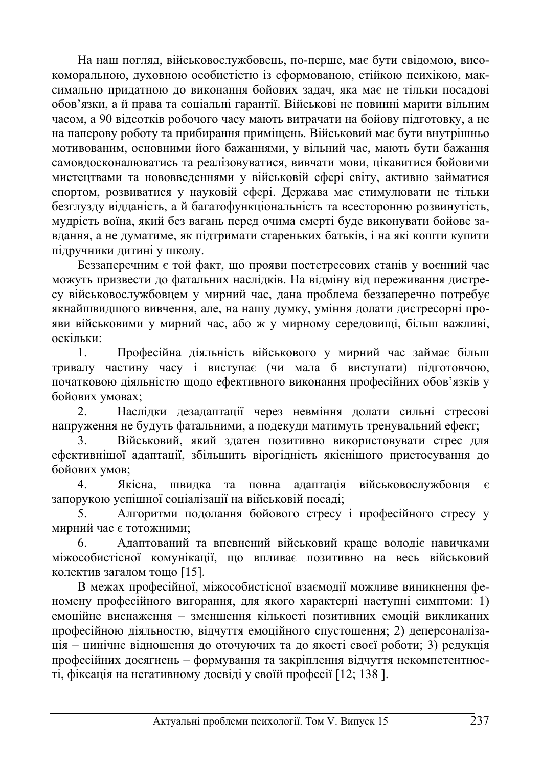На наш погляд, військовослужбовець, по-перше, має бути свідомою, високоморальною, духовною особистістю із сформованою, стійкою психікою, максимально придатною до виконання бойових задач, яка має не тільки посадові обов'язки, а й права та соціальні гарантії. Військові не повинні марити вільним часом, а 90 відсотків робочого часу мають витрачати на бойову підготовку, а не на паперову роботу та прибирання приміщень. Військовий має бути внутрішньо мотивованим, основними його бажаннями, у вільний час, мають бути бажання самовдосконалюватись та реалізовуватися, вивчати мови, цікавитися бойовими мистецтвами та нововведеннями у військовій сфері світу, активно займатися спортом, розвиватися у науковій сфері. Держава має стимулювати не тільки безглузду відданість, а й багатофункціональність та всесторонню розвинутість, мудрість воїна, який без вагань перед очима смерті буде виконувати бойове завдання, а не думатиме, як підтримати стареньких батьків, і на які кошти купити підручники дитині у школу.

Беззаперечним є той факт, що прояви постстресових станів у воєнний час можуть призвести до фатальних наслідків. На відміну від переживання дистресу військовослужбовцем у мирний час, дана проблема беззаперечно потребує якнайшвидшого вивчення, але, на нашу думку, уміння долати дистресорні прояви військовими у мирний час, або ж у мирному середовищі, більш важливі, оскільки:

1. Професійна діяльність військового у мирний час займає більш тривалу частину часу і виступає (чи мала б виступати) підготовчою, початковою діяльністю щодо ефективного виконання професійних обов'язків у бойових умовах;

2. Наслідки дезадаптації через невміння долати сильні стресові напруження не будуть фатальними, а подекуди матимуть тренувальний ефект;

3. Військовий, який здатен позитивно використовувати стрес для ефективнішої адаптації, збільшить вірогідність якіснішого пристосування до бойових умов;

4. Якісна, швидка та повна адаптація військовослужбовця є запорукою успішної соціалізації на військовій посаді:

5. Алгоритми подолання бойового стресу і професійного стресу у мирний час є тотожними;

6. Адаптований та впевнений військовий краще володіє навичками міжособистісної комунікації, що впливає позитивно на весь військовий колектив загалом тощо  $[15]$ .

В межах професійної, міжособистісної взаємодії можливе виникнення феномену професійного вигорання, для якого характерні наступні симптоми: 1) емоційне виснаження – зменшення кількості позитивних емоцій викликаних професійною діяльностю, відчуття емоційного спустошення; 2) деперсоналізація – цинічне відношення до оточуючих та до якості своєї роботи; 3) редукція професійних досягнень – формування та закріплення відчуття некомпетентності, фіксація на негативному досвіді у своїй професії [12; 138].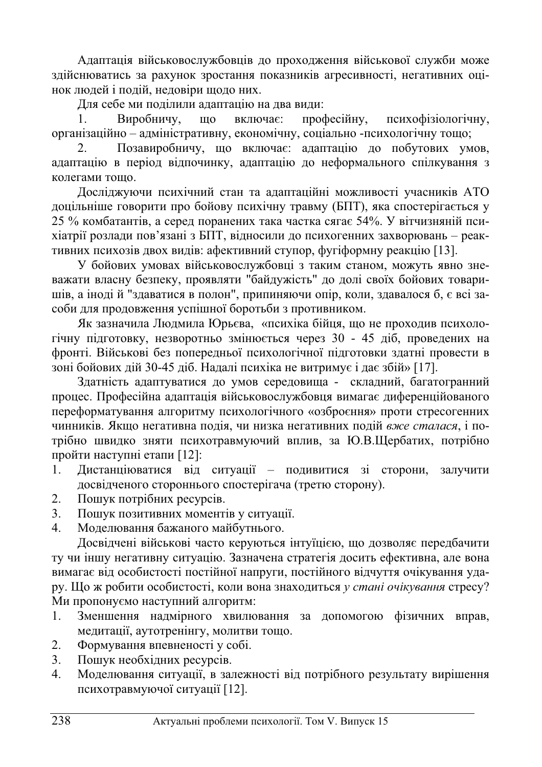Адаптація військовослужбовців до проходження військової служби може здійснюватись за рахунок зростання показників агресивності, негативних оцінок людей і подій, недовіри щодо них.

Для себе ми поділили адаптацію на два види:

1. Виробничу, що включає: професійну, психофізіологічну, організаційно – адміністративну, економічну, соціально -психологічну тощо;

2. Позавиробничу, що включає: адаптацію до побутових умов, адаптацію в період відпочинку, адаптацію до неформального спілкування з колегами тошо.

Досліджуючи психічний стан та адаптаційні можливості учасників АТО доцільніше говорити про бойову психічну травму (БПТ), яка спостерігається у 25 % комбатантів, а серед поранених така частка сягає 54%. У вітчизняній психіатрії розлади пов'язані з БПТ, відносили до психогенних захворювань – реактивних психозів двох видів: афективний ступор, фугіформну реакцію [13].

У бойових умовах військовослужбовці з таким станом, можуть явно зневажати власну безпеку, проявляти "байдужість" до долі своїх бойових товаришів, а іноді й "здаватися в полон", припиняючи опір, коли, здавалося б, є всі засоби для продовження успішної боротьби з противником.

Як зазначила Людмила Юрьєва, «психіка бійця, що не проходив психологічну підготовку, незворотньо змінюється через 30 - 45 діб, проведених на фронті. Військові без попередньої психологічної підготовки здатні провести в зоні бойових дій 30-45 діб. Надалі психіка не витримує і дає збій» [17].

Здатність адаптуватися до умов середовища - складний, багатогранний процес. Професійна адаптація військовослужбовця вимагає диференційованого переформатування алгоритму психологічного «озброєння» проти стресогенних чинників. Якшо негативна полія, чи низка негативних полій вже сталася, і потрібно швидко зняти психотравмуючий вплив, за Ю.В.Щербатих, потрібно пройти наступні етапи [12]:

- 1. Дистанціюватися від ситуації подивитися зі сторони, залучити досвідченого стороннього спостерігача (третю сторону).
- 2. Пошук потрібних ресурсів.
- 3. Пошук позитивних моментів у ситуації.
- 4. Моделювання бажаного майбутнього.

Досвідчені військові часто керуються інтуїцією, що дозволяє передбачити ту чи іншу негативну ситуацію. Зазначена стратегія досить ефективна, але вона вимагає від особистості постійної напруги, постійного відчуття очікування удару. Що ж робити особистості, коли вона знаходиться у *стані очікування* стресу? Ми пропонуємо наступний алгоритм:

- 1. Зменшення надмірного хвилювання за допомогою фізичних вправ, медитації, аутотренінгу, молитви тощо.
- 2. Формування впевненості у собі.
- 3. Пошук необхідних ресурсів.
- 4. Моделювання ситуації, в залежності від потрібного результату вирішення психотравмуючої ситуації [12].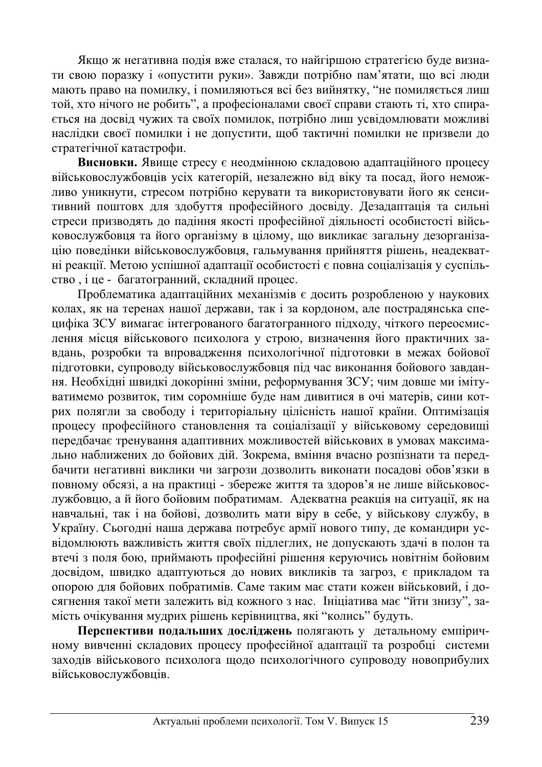Якщо ж негативна подія вже сталася, то найгіршою стратегією буде визнати свою поразку і «опустити руки». Завжди потрібно пам'ятати, що всі люди мають право на помилку, і помиляються всі без вийнятку, "не помиляється лиш той, хто нічого не робить", а професіоналами своєї справи стають ті, хто спирається на досвід чужих та своїх помилок, потрібно лиш усвідомлювати можливі наслідки своєї помилки і не допустити, щоб тактичні помилки не призвели до стратегічної катастрофи.

Висновки. Явище стресу є неодмінною складовою адаптаційного процесу військовослужбовців усіх категорій, незалежно від віку та посад, його неможливо уникнути, стресом потрібно керувати та використовувати його як сенситивний поштовх для здобуття професійного досвіду. Дезадаптація та сильні стреси призводять до падіння якості професійної діяльності особистості військовослужбовця та його організму в цілому, що викликає загальну дезорганізацію поведінки військовослужбовця, гальмування прийняття рішень, неадекватні реакції. Метою успішної адаптації особистості є повна соціалізація у суспільство, і це - багатогранний, складний процес.

Проблематика адаптаційних механізмів є досить розробленою у наукових колах, як на теренах нашої держави, так і за кордоном, але пострадянська специфіка ЗСУ вимагає інтегрованого багатогранного підходу, чіткого переосмислення місця військового психолога у строю, визначення його практичних завдань, розробки та впровадження психологічної підготовки в межах бойової підготовки, супроводу військовослужбовця під час виконання бойового завдання. Необхідні швидкі докорінні зміни, реформування ЗСУ; чим довше ми імітуватимемо розвиток, тим соромніше буде нам дивитися в очі матерів, сини котрих полягли за свободу і територіальну цілісність нашої країни. Оптимізація процесу професійного становлення та соціалізації у військовому середовищі передбачає тренування адаптивних можливостей військових в умовах максимально наближених до бойових дій. Зокрема, вміння вчасно розпізнати та передбачити негативні виклики чи загрози дозволить виконати посадові обов'язки в повному обсязі, а на практиці - збереже життя та здоров'я не лише військовослужбовцю, а й його бойовим побратимам. Адекватна реакція на ситуації, як на навчальні, так і на бойові, дозволить мати віру в себе, у військову службу, в Україну. Сьогодні наша держава потребує армії нового типу, де командири усвідомлюють важливість життя своїх підлеглих, не допускають здачі в полон та втечі з поля бою, приймають професійні рішення керуючись новітнім бойовим досвідом, швидко адаптуються до нових викликів та загроз, є прикладом та опорою для бойових побратимів. Саме таким має стати кожен військовий, і досягнення такої мети залежить від кожного з нас. Ініціатива має "йти знизу", замість очікування мудрих рішень керівництва, які "колись" будуть.

Перспективи подальших досліджень полягають у детальному емпіричному вивченні складових процесу професійної адаптації та розробці системи заходів військового психолога щодо психологічного супроводу новоприбулих військовослужбовців.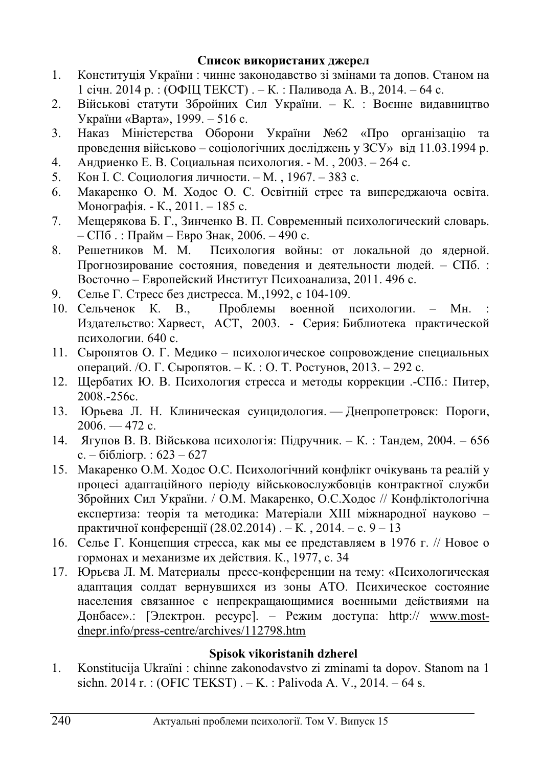## Список використаних джерел

- 1. Конституція України: чинне законодавство зі змінами та допов. Станом на 1 січн. 2014 р. : (ОФЩ ТЕКСТ) . – К. : Паливода А. В., 2014. – 64 с.
- 2. Військові статути Збройних Сил України. К. : Воєнне видавництво України «Варта», 1999. – 516 с.
- 3. Наказ Міністерства Оборони України №62 «Про організацію та проведення військово – соціологічних досліджень у ЗСУ» від 11.03.1994 р.
- 4. Андриенко Е. В. Социальная психология. М., 2003. 264 с.
- 5. Кон І. С. Социология личности. М., 1967. 383 с.
- 6. Макаренко О. М. Ходос О. С. Освітній стрес та випереджаюча освіта. Монографія. - К., 2011. – 185 с.
- 7. Мещерякова Б. Г., Зинченко В. П. Современный психологический словарь.  $-$  СПб. : Прайм – Евро Знак, 2006. – 490 с.
- 8. Решетников М. М. Психология войны: от локальной до ядерной. Прогнозирование состояния, поведения и деятельности людей. – СПб. : Восточно – Европейский Институт Психоанализа, 2011. 496 с.
- 9. Селье Г. Стресс без дистресса. М., 1992, с 104-109.
- 10. Сельченок К. В., Проблемы военной психологии. Мн. Издательство: Харвест, АСТ, 2003. - Серия: Библиотека практической психологии. 640 с.
- 11. Сыропятов О. Г. Медико психологическое сопровождение специальных операций. /О. Г. Сыропятов. – К. : О. Т. Ростунов, 2013. – 292 с.
- 12. Щербатих Ю. В. Психология стресса и методы коррекции .-СПб.: Питер, 2008.-256c.
- 13. Юрьева Л. Н. Клиническая суицидология. Днепропетровск: Пороги,  $2006. - 472$  c.
- 14. Ягупов В. В. Військова психологія: Підручник. К.: Тандем, 2004. 656 с. – бібліогр. : 623 – 627
- 15. Макаренко О.М. Ходос О.С. Психологічний конфлікт очікувань та реалій у процесі адаптаційного періоду військовослужбовців контрактної служби Збройних Сил України. / О.М. Макаренко, О.С.Ходос // Конфліктологічна експертиза: теорія та методика: Матеріали XIII міжнародної науково практичної конференції  $(28.02.2014)$ . – К., 2014. – с. 9 – 13
- 16. Селье Г. Концепция стресса, как мы ее представляем в 1976 г. // Новое о гормонах и механизме их действия. К., 1977, с. 34
- 17. Юрьєва Л. М. Материалы пресс-конференции на тему: «Психологическая адаптация солдат вернувшихся из зоны АТО. Психическое состояние населения связанное с непрекращающимися военными действиями на Донбасе».: [Электрон. pecypc]. – Режим доступа: http:// www.mostdnepr.info/press-centre/archives/112798.htm

## **Spisok vikoristanih dzherel**

1. Konstitucija Ukraïni : chinne zakonodavstvo zi zminami ta dopov. Stanom na 1 sichn. 2014 r. : (OFIC TEKST) .  $-$  K. : Palivoda A. V., 2014. – 64 s.